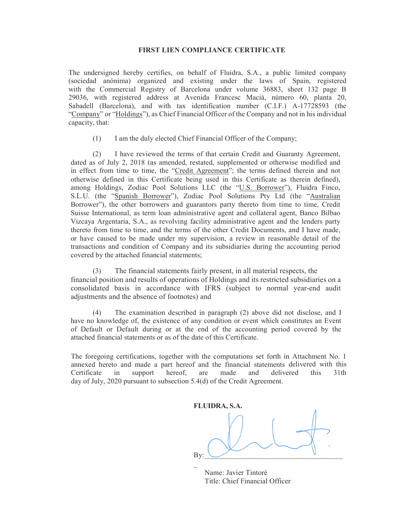## FIRST LIEN COMPLIANCE CERTIFICATE

The undersigned hereby certifies, on behalf of Fluidra, S.A., a public limited company (sociedad anónima) organized and existing under the laws of Spain, registered with the Commercial Registry of Barcelona under volume 36883, sheet 132 page B 29036, with registered address at Avenida Francesc Macià, número 60, planta 20, Sabadell (Barcelona), and with tax identification number (C.I.F.) A-17728593 (the "Company" or "Holdings"), as Chief Financial Officer of the Company and not in his individual capacity, that:

(1) I am the duly elected Chief Financial Officer of the Company;

(2) I have reviewed the terms of that certain Credit and Guaranty Agreement, dated as of July 2, 2018 (as amended, restated, supplemented or otherwise modified and in effect from time to time, the "Credit Agreement"; the terms defined therein and not otherwise defined in this Certificate being used in this Certificate as therein defined), among Holdings, Zodiac Pool Solutions LLC (the "U.S. Borrower"), Fluidra Finco, S.L.U. (the "Spanish Borrower"), Zodiac Pool Solutions Pty Ltd (the "Australian Borrower"), the other borrowers and guarantors party thereto from time to time, Credit Suisse International, as term loan administrative agent and collateral agent, Banco Bilbao Vizcaya Argentaria, S.A., as revolving facility administrative agent and the lenders party thereto from time to time, and the terms of the other Credit Documents, and I have made, or have caused to be made under my supervision, a review in reasonable detail of the transactions and condition of Company and its subsidiaries during the accounting period covered by the attached financial statements;

(3) The financial statements fairly present, in all material respects, the financial position and results of operations of Holdings and its restricted subsidiaries on a consolidated basis in accordance with IFRS (subject to normal year-end audit adjustments and the absence of footnotes) and

(4) The examination described in paragraph (2) above did not disclose, and I have no knowledge of, the existence of any condition or event which constitutes an Event of Default or Default during or at the end of the accounting period covered by the attached financial statements or as of the date of this Certificate.

The foregoing certifications, together with the computations set forth in Attachment No. 1 annexed hereto and made a part hereof and the financial statements delivered with this Certificate in support hereof, are made and delivered this 31th day of July, 2020 pursuant to subsection 5.4(d) of the Credit Agreement.

FLUIDRA, S.A. By:  $\Box$  $\mathcal{L}(\mathcal{L})$ 

 Name: Javier Tintoré Title: Chief Financial Officer